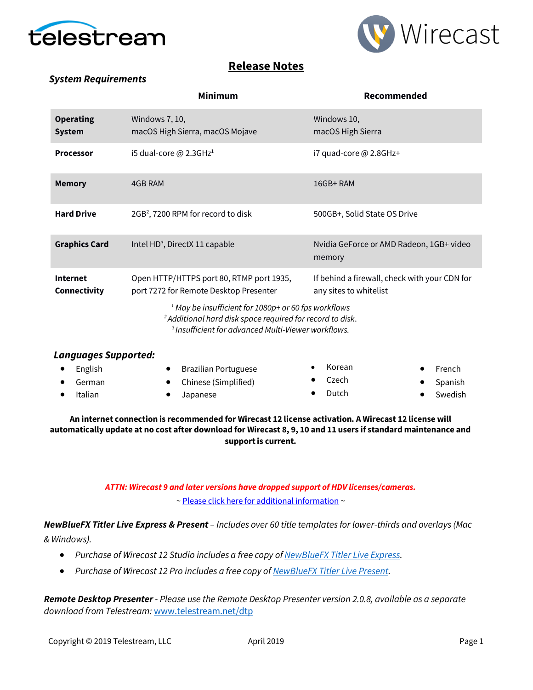



## **Release Notes**

### *System Requirements*

|                                   | <b>Minimum</b>                                                                                                                          | Recommended                                                             |
|-----------------------------------|-----------------------------------------------------------------------------------------------------------------------------------------|-------------------------------------------------------------------------|
| <b>Operating</b><br><b>System</b> | Windows 7, 10,<br>macOS High Sierra, macOS Mojave                                                                                       | Windows 10,<br>macOS High Sierra                                        |
| <b>Processor</b>                  | i5 dual-core @ 2.3GHz <sup>1</sup>                                                                                                      | i7 quad-core @ 2.8GHz+                                                  |
| <b>Memory</b>                     | 4GB RAM                                                                                                                                 | $16GB+RAM$                                                              |
| <b>Hard Drive</b>                 | $2GB2$ , 7200 RPM for record to disk                                                                                                    | 500GB+, Solid State OS Drive                                            |
| <b>Graphics Card</b>              | Intel HD <sup>3</sup> , DirectX 11 capable                                                                                              | Nvidia GeForce or AMD Radeon, 1GB+ video<br>memory                      |
| <b>Internet</b><br>Connectivity   | Open HTTP/HTTPS port 80, RTMP port 1935,<br>port 7272 for Remote Desktop Presenter                                                      | If behind a firewall, check with your CDN for<br>any sites to whitelist |
|                                   | <sup>1</sup> May be insufficient for 1080p+ or 60 fps workflows<br><sup>2</sup> Additional hard disk space required for record to disk. |                                                                         |

*<sup>3</sup>Insufficient for advanced Multi-Viewer workflows.*

| <b>Languages Supported:</b> |                                          |        |                  |
|-----------------------------|------------------------------------------|--------|------------------|
| English                     | <b>Brazilian Portuguese</b><br>$\bullet$ | Korean | $\bullet$ French |
| German                      | • Chinese (Simplified)                   | Czech  | • Spanish        |
| Italian                     | Japanese                                 | Dutch  | Swedish          |
|                             |                                          |        |                  |

#### **An internet connection is recommended for Wirecast 12 license activation. A Wirecast 12 license will automatically update at no cost after download for Wirecast 8, 9, 10 and 11 users if standard maintenance and support is current.**

### *ATTN: Wirecast 9 and later versions have dropped support of HDV licenses/cameras.*  [~ Please click here for additional information](http://www.telestream.net/telestream-support/wire-cast/faq.htm?kbURL=http://telestream.force.com/kb/articles/Knowledge_Article/Wirecast-HDV-Firewire-No-longer-Supported/) ~

*NewBlueFX Titler Live Express & Present – Includes over 60 title templates for lower-thirds and overlays (Mac & Windows).*

- *Purchase of Wirecast 12 Studio includes a free copy o[f NewBlueFX Titler Live Express.](http://www.telestream.net/wirecast/newblue.htm)*
- *Purchase of Wirecast 12 Pro includes a free copy o[f NewBlueFX Titler Live Present.](http://www.telestream.net/wirecast/newblue.htm)*

*Remote Desktop Presenter - Please use the Remote Desktop Presenter version 2.0.8, available as a separate download from Telestream:* [www.telestream.net/dtp](http://www.telestream.net/dtp)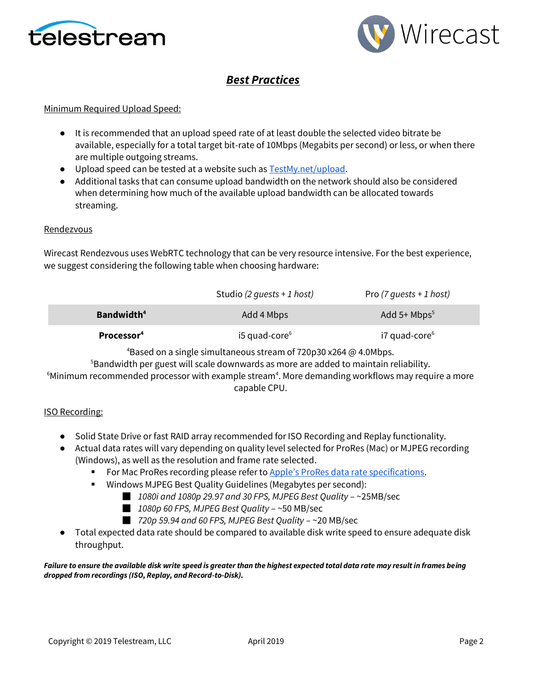



# *Best Practices*

#### Minimum Required Upload Speed:

- It is recommended that an upload speed rate of at least double the selected video bitrate be available, especially for a total target bit-rate of 10Mbps (Megabits per second) or less, or when there are multiple outgoing streams.
- Upload speed can be tested at a website such a[s TestMy.net/upload.](http://testmy.net/upload)
- Additional tasks that can consume upload bandwidth on the network should also be considered when determining how much of the available upload bandwidth can be allocated towards streaming.

#### **Rendezvous**

Wirecast Rendezvous uses WebRTC technology that can be very resource intensive. For the best experience, we suggest considering the following table when choosing hardware:

|                        | Studio (2 quests + 1 host) | Pro (7 quests + 1 host) |
|------------------------|----------------------------|-------------------------|
| Bandwidth <sup>4</sup> | Add 4 Mbps                 | Add 5+ $Mbps^5$         |
| Processor <sup>4</sup> | i5 quad-core $6$           | $i7$ quad-core $6$      |

<sup>4</sup>Based on a single simultaneous stream of 720p30 x264  $\omega$  4.0Mbps.

<sup>5</sup>Bandwidth per guest will scale downwards as more are added to maintain reliability.

 $6$ Minimum recommended processor with example stream $4$ . More demanding workflows may require a more capable CPU.

#### ISO Recording:

- Solid State Drive or fast RAID array recommended for ISO Recording and Replay functionality.
- Actual data rates will vary depending on quality level selected for ProRes (Mac) or MJPEG recording (Windows), as well as the resolution and frame rate selected.
	- For Mac ProRes recording please refer to [Apple's ProRes data rate specifications](https://documentation.apple.com/en/finalcutpro/professionalformatsandworkflows/index.html).
	- Windows MJPEG Best Quality Guidelines (Megabytes per second):
		- *1080i and 1080p 29.97 and 30 FPS, MJPEG Best Quality* ~25MB/sec
		- *1080p 60 FPS, MJPEG Best Quality* ~50 MB/sec
		- *720p 59.94 and 60 FPS, MJPEG Best Quality* ~20 MB/sec
- Total expected data rate should be compared to available disk write speed to ensure adequate disk throughput.

*Failure to ensure the available disk write speed is greater than the highest expected total data rate may result in frames being dropped from recordings (ISO, Replay, and Record-to-Disk).*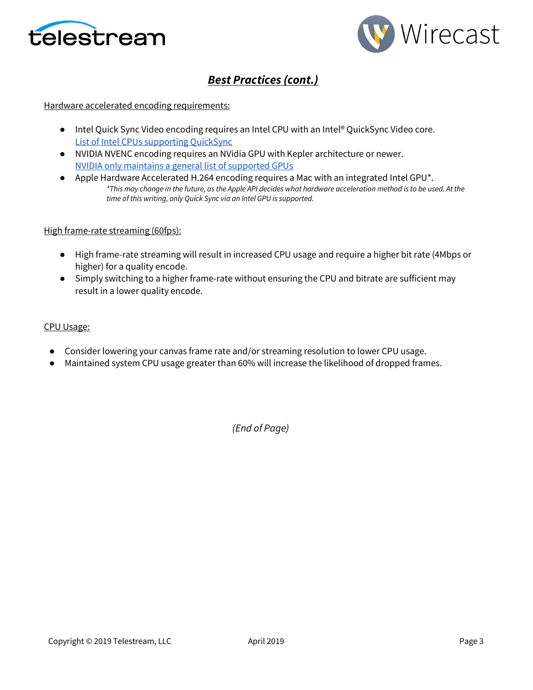



# *Best Practices (cont.)*

#### Hardware accelerated encoding requirements:

- Intel Quick Sync Video encoding requires an Intel CPU with an Intel® QuickSync Video core[.](http://ark.intel.com/search/advanced?QuickSyncVideo=true&MarketSegment=DT) [List of Intel CPUs supporting QuickSync](http://ark.intel.com/search/advanced?QuickSyncVideo=true&MarketSegment=DT)
- NVIDIA NVENC encoding requires an NVidia GPU with Kepler architecture or newer[.](https://developer.nvidia.com/nvidia-video-codec-sdk) [NVIDIA only maintains a general list of supported GPUs](https://developer.nvidia.com/nvidia-video-codec-sdk)
- Apple Hardware Accelerated H.264 encoding requires a Mac with an integrated Intel GPU<sup>\*</sup>. *\*This may change in the future, as the Apple API decides what hardware acceleration method is to be used. At the time of this writing, only Quick Sync via an Intel GPU is supported.*

#### High frame-rate streaming (60fps):

- High frame-rate streaming will result in increased CPU usage and require a higher bit rate (4Mbps or higher) for a quality encode.
- Simply switching to a higher frame-rate without ensuring the CPU and bitrate are sufficient may result in a lower quality encode.

#### CPU Usage:

- Consider lowering your canvas frame rate and/or streaming resolution to lower CPU usage.
- Maintained system CPU usage greater than 60% will increase the likelihood of dropped frames.

*(End of Page)*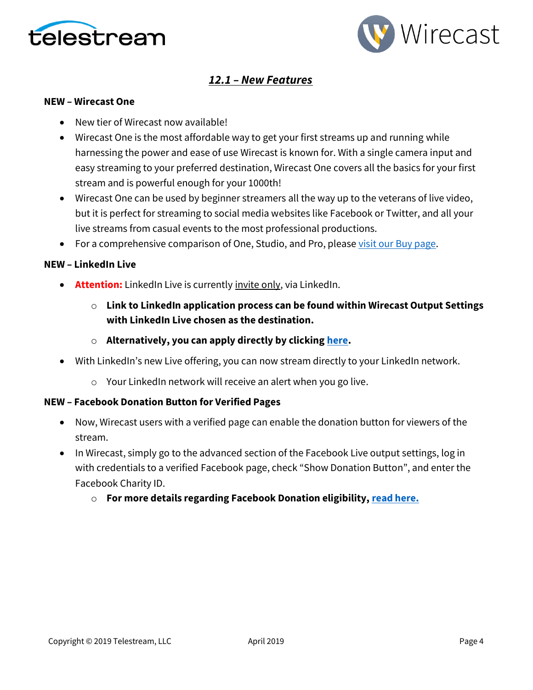



## *12.1 – New Features*

#### **NEW – Wirecast One**

- New tier of Wirecast now available!
- Wirecast One is the most affordable way to get your first streams up and running while harnessing the power and ease of use Wirecast is known for. With a single camera input and easy streaming to your preferred destination, Wirecast One covers all the basics for your first stream and is powerful enough for your 1000th!
- Wirecast One can be used by beginner streamers all the way up to the veterans of live video, but it is perfect for streaming to social media websites like Facebook or Twitter, and all your live streams from casual events to the most professional productions.
- For a comprehensive comparison of One, Studio, and Pro, please [visit our Buy page.](https://www.telestream.net/wirecast/store.asp)

### **NEW – LinkedIn Live**

- **Attention:** LinkedIn Live is currently invite only, via LinkedIn.
	- o **Link to LinkedIn application process can be found within Wirecast Output Settings with LinkedIn Live chosen as the destination.**
	- o **Alternatively, you can apply directly by clickin[g here.](https://www.linkedin.com/help/linkedin/answer/100224/applying-for-live-video-broadcasting)**
- With LinkedIn's new Live offering, you can now stream directly to your LinkedIn network.
	- o Your LinkedIn network will receive an alert when you go live.

### **NEW – Facebook Donation Button for Verified Pages**

- Now, Wirecast users with a verified page can enable the donation button for viewers of the stream.
- In Wirecast, simply go to the advanced section of the Facebook Live output settings, log in with credentials to a verified Facebook page, check "Show Donation Button", and enter the Facebook Charity ID.
	- o **For more details regarding Facebook Donation eligibility, [read here.](https://www.facebook.com/facebookmedia/blog/fundraising-with-facebook-live)**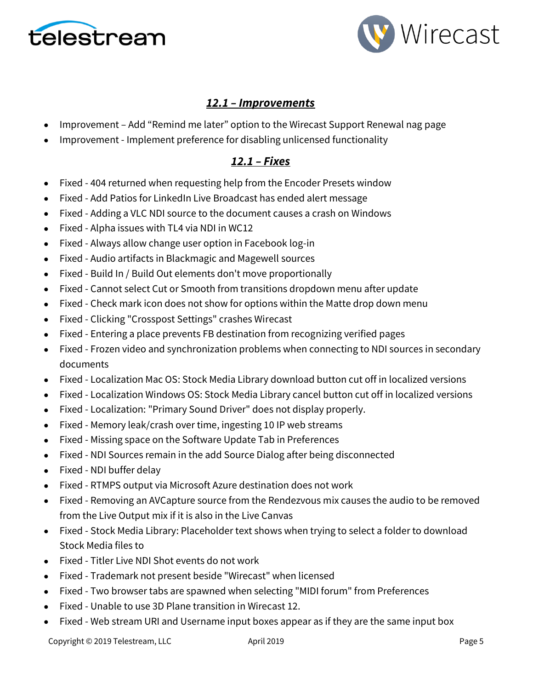



## *12.1 – Improvements*

- Improvement Add "Remind me later" option to the Wirecast Support Renewal nag page
- Improvement Implement preference for disabling unlicensed functionality

## *12.1 – Fixes*

- Fixed 404 returned when requesting help from the Encoder Presets window
- Fixed Add Patios for LinkedIn Live Broadcast has ended alert message
- Fixed Adding a VLC NDI source to the document causes a crash on Windows
- Fixed Alpha issues with TL4 via NDI in WC12
- Fixed Always allow change user option in Facebook log-in
- Fixed Audio artifacts in Blackmagic and Magewell sources
- Fixed Build In / Build Out elements don't move proportionally
- Fixed Cannot select Cut or Smooth from transitions dropdown menu after update
- Fixed Check mark icon does not show for options within the Matte drop down menu
- Fixed Clicking "Crosspost Settings" crashes Wirecast
- Fixed Entering a place prevents FB destination from recognizing verified pages
- Fixed Frozen video and synchronization problems when connecting to NDI sources in secondary documents
- Fixed Localization Mac OS: Stock Media Library download button cut off in localized versions
- Fixed Localization Windows OS: Stock Media Library cancel button cut off in localized versions
- Fixed Localization: "Primary Sound Driver" does not display properly.
- Fixed Memory leak/crash over time, ingesting 10 IP web streams
- Fixed Missing space on the Software Update Tab in Preferences
- Fixed NDI Sources remain in the add Source Dialog after being disconnected
- Fixed NDI buffer delay
- Fixed RTMPS output via Microsoft Azure destination does not work
- Fixed Removing an AVCapture source from the Rendezvous mix causes the audio to be removed from the Live Output mix if it is also in the Live Canvas
- Fixed Stock Media Library: Placeholder text shows when trying to select a folder to download Stock Media files to
- Fixed Titler Live NDI Shot events do not work
- Fixed Trademark not present beside "Wirecast" when licensed
- Fixed Two browser tabs are spawned when selecting "MIDI forum" from Preferences
- Fixed Unable to use 3D Plane transition in Wirecast 12.
- Fixed Web stream URI and Username input boxes appear as if they are the same input box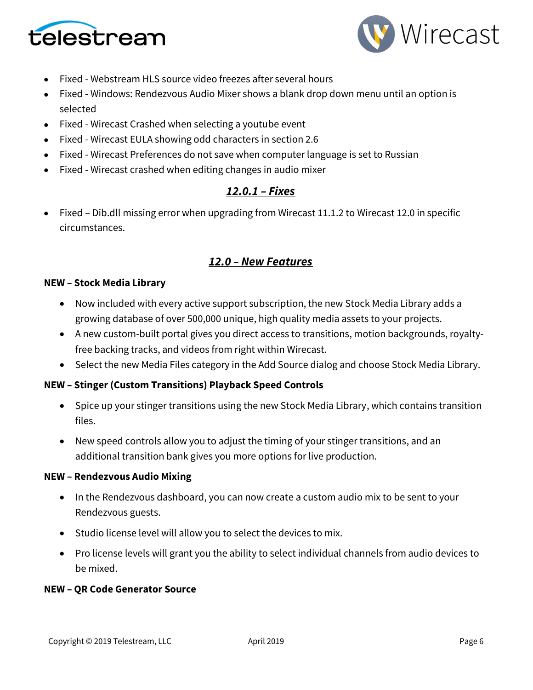



- Fixed Webstream HLS source video freezes after several hours
- Fixed Windows: Rendezvous Audio Mixer shows a blank drop down menu until an option is selected
- Fixed Wirecast Crashed when selecting a youtube event
- Fixed Wirecast EULA showing odd characters in section 2.6
- Fixed Wirecast Preferences do not save when computer language is set to Russian
- Fixed Wirecast crashed when editing changes in audio mixer

## *12.0.1 – Fixes*

• Fixed – Dib.dll missing error when upgrading from Wirecast 11.1.2 to Wirecast 12.0 in specific circumstances.

## *12.0 – New Features*

### **NEW – Stock Media Library**

- Now included with every active support subscription, the new Stock Media Library adds a growing database of over 500,000 unique, high quality media assets to your projects.
- A new custom-built portal gives you direct access to transitions, motion backgrounds, royaltyfree backing tracks, and videos from right within Wirecast.
- Select the new Media Files category in the Add Source dialog and choose Stock Media Library.

### **NEW – Stinger (Custom Transitions) Playback Speed Controls**

- Spice up your stinger transitions using the new Stock Media Library, which contains transition files.
- New speed controls allow you to adjust the timing of your stinger transitions, and an additional transition bank gives you more options for live production.

### **NEW – Rendezvous Audio Mixing**

- In the Rendezvous dashboard, you can now create a custom audio mix to be sent to your Rendezvous guests.
- Studio license level will allow you to select the devices to mix.
- Pro license levels will grant you the ability to select individual channels from audio devices to be mixed.

### **NEW – QR Code Generator Source**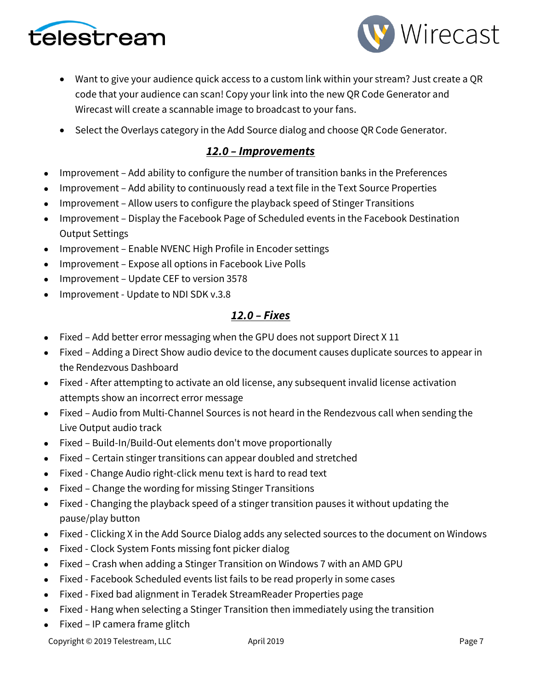



- Want to give your audience quick access to a custom link within your stream? Just create a QR code that your audience can scan! Copy your link into the new QR Code Generator and Wirecast will create a scannable image to broadcast to your fans.
- Select the Overlays category in the Add Source dialog and choose QR Code Generator.

## *12.0 – Improvements*

- Improvement Add ability to configure the number of transition banks in the Preferences
- Improvement Add ability to continuously read a text file in the Text Source Properties
- Improvement Allow users to configure the playback speed of Stinger Transitions
- Improvement Display the Facebook Page of Scheduled events in the Facebook Destination Output Settings
- Improvement Enable NVENC High Profile in Encoder settings
- Improvement Expose all options in Facebook Live Polls
- Improvement Update CEF to version 3578
- Improvement Update to NDI SDK v.3.8

## *12.0 – Fixes*

- Fixed Add better error messaging when the GPU does not support Direct X 11
- Fixed Adding a Direct Show audio device to the document causes duplicate sources to appear in the Rendezvous Dashboard
- Fixed After attempting to activate an old license, any subsequent invalid license activation attempts show an incorrect error message
- Fixed Audio from Multi-Channel Sources is not heard in the Rendezvous call when sending the Live Output audio track
- Fixed Build-In/Build-Out elements don't move proportionally
- Fixed Certain stinger transitions can appear doubled and stretched
- Fixed Change Audio right-click menu text is hard to read text
- Fixed Change the wording for missing Stinger Transitions
- Fixed Changing the playback speed of a stinger transition pauses it without updating the pause/play button
- Fixed Clicking X in the Add Source Dialog adds any selected sources to the document on Windows
- Fixed Clock System Fonts missing font picker dialog
- Fixed Crash when adding a Stinger Transition on Windows 7 with an AMD GPU
- Fixed Facebook Scheduled events list fails to be read properly in some cases
- Fixed Fixed bad alignment in Teradek StreamReader Properties page
- Fixed Hang when selecting a Stinger Transition then immediately using the transition
- Fixed IP camera frame glitch

Copyright © 2019 Telestream, LLC April 2019 April 2019 Page 7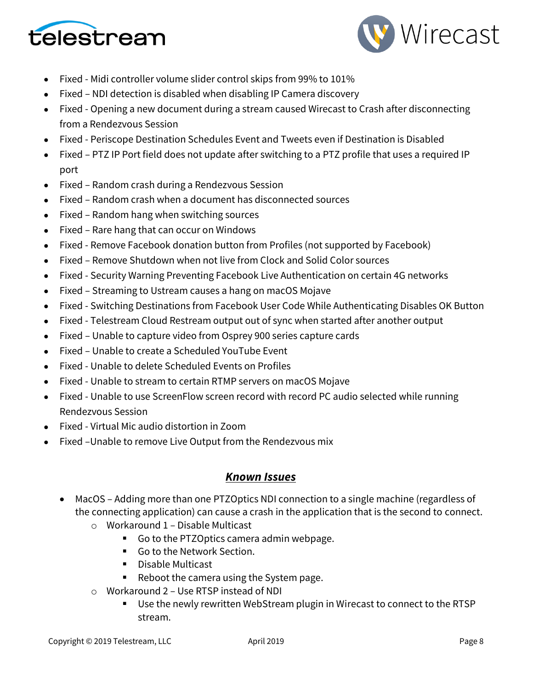



- Fixed Midi controller volume slider control skips from 99% to 101%
- Fixed NDI detection is disabled when disabling IP Camera discovery
- Fixed Opening a new document during a stream caused Wirecast to Crash after disconnecting from a Rendezvous Session
- Fixed Periscope Destination Schedules Event and Tweets even if Destination is Disabled
- Fixed PTZ IP Port field does not update after switching to a PTZ profile that uses a required IP port
- Fixed Random crash during a Rendezvous Session
- Fixed Random crash when a document has disconnected sources
- Fixed Random hang when switching sources
- Fixed Rare hang that can occur on Windows
- Fixed Remove Facebook donation button from Profiles (not supported by Facebook)
- Fixed Remove Shutdown when not live from Clock and Solid Color sources
- Fixed Security Warning Preventing Facebook Live Authentication on certain 4G networks
- Fixed Streaming to Ustream causes a hang on macOS Mojave
- Fixed Switching Destinations from Facebook User Code While Authenticating Disables OK Button
- Fixed Telestream Cloud Restream output out of sync when started after another output
- Fixed Unable to capture video from Osprey 900 series capture cards
- Fixed Unable to create a Scheduled YouTube Event
- Fixed Unable to delete Scheduled Events on Profiles
- Fixed Unable to stream to certain RTMP servers on macOS Mojave
- Fixed Unable to use ScreenFlow screen record with record PC audio selected while running Rendezvous Session
- Fixed Virtual Mic audio distortion in Zoom
- Fixed –Unable to remove Live Output from the Rendezvous mix

### *Known Issues*

- MacOS Adding more than one PTZOptics NDI connection to a single machine (regardless of the connecting application) can cause a crash in the application that is the second to connect.
	- o Workaround 1 Disable Multicast
		- Go to the PTZOptics camera admin webpage.
		- Go to the Network Section.
		- Disable Multicast
		- Reboot the camera using the System page.
	- o Workaround 2 Use RTSP instead of NDI
		- Use the newly rewritten WebStream plugin in Wirecast to connect to the RTSP stream.